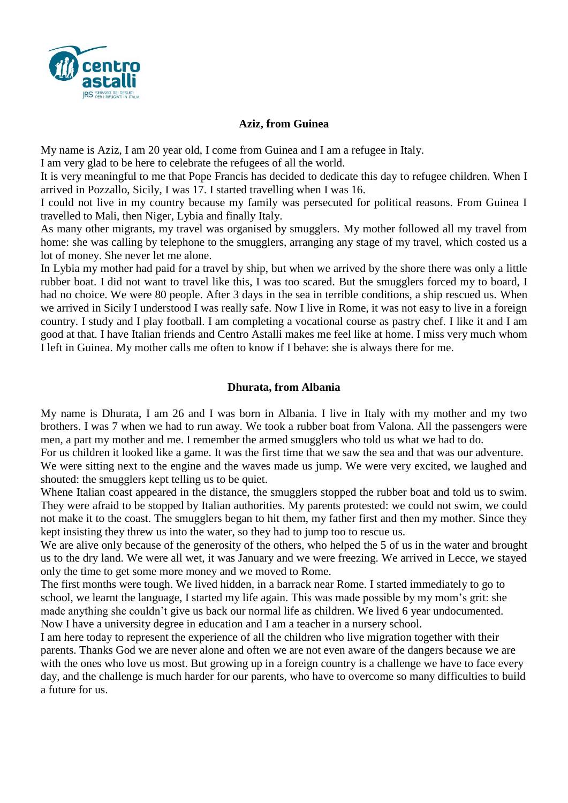

## **Aziz, from Guinea**

My name is Aziz, I am 20 year old, I come from Guinea and I am a refugee in Italy.

I am very glad to be here to celebrate the refugees of all the world.

It is very meaningful to me that Pope Francis has decided to dedicate this day to refugee children. When I arrived in Pozzallo, Sicily, I was 17. I started travelling when I was 16.

I could not live in my country because my family was persecuted for political reasons. From Guinea I travelled to Mali, then Niger, Lybia and finally Italy.

As many other migrants, my travel was organised by smugglers. My mother followed all my travel from home: she was calling by telephone to the smugglers, arranging any stage of my travel, which costed us a lot of money. She never let me alone.

In Lybia my mother had paid for a travel by ship, but when we arrived by the shore there was only a little rubber boat. I did not want to travel like this, I was too scared. But the smugglers forced my to board, I had no choice. We were 80 people. After 3 days in the sea in terrible conditions, a ship rescued us. When we arrived in Sicily I understood I was really safe. Now I live in Rome, it was not easy to live in a foreign country. I study and I play football. I am completing a vocational course as pastry chef. I like it and I am good at that. I have Italian friends and Centro Astalli makes me feel like at home. I miss very much whom I left in Guinea. My mother calls me often to know if I behave: she is always there for me.

## **Dhurata, from Albania**

My name is Dhurata, I am 26 and I was born in Albania. I live in Italy with my mother and my two brothers. I was 7 when we had to run away. We took a rubber boat from Valona. All the passengers were men, a part my mother and me. I remember the armed smugglers who told us what we had to do.

For us children it looked like a game. It was the first time that we saw the sea and that was our adventure. We were sitting next to the engine and the waves made us jump. We were very excited, we laughed and shouted: the smugglers kept telling us to be quiet.

Whene Italian coast appeared in the distance, the smugglers stopped the rubber boat and told us to swim. They were afraid to be stopped by Italian authorities. My parents protested: we could not swim, we could not make it to the coast. The smugglers began to hit them, my father first and then my mother. Since they kept insisting they threw us into the water, so they had to jump too to rescue us.

We are alive only because of the generosity of the others, who helped the 5 of us in the water and brought us to the dry land. We were all wet, it was January and we were freezing. We arrived in Lecce, we stayed only the time to get some more money and we moved to Rome.

The first months were tough. We lived hidden, in a barrack near Rome. I started immediately to go to school, we learnt the language, I started my life again. This was made possible by my mom's grit: she made anything she couldn't give us back our normal life as children. We lived 6 year undocumented. Now I have a university degree in education and I am a teacher in a nursery school.

I am here today to represent the experience of all the children who live migration together with their parents. Thanks God we are never alone and often we are not even aware of the dangers because we are with the ones who love us most. But growing up in a foreign country is a challenge we have to face every day, and the challenge is much harder for our parents, who have to overcome so many difficulties to build a future for us.